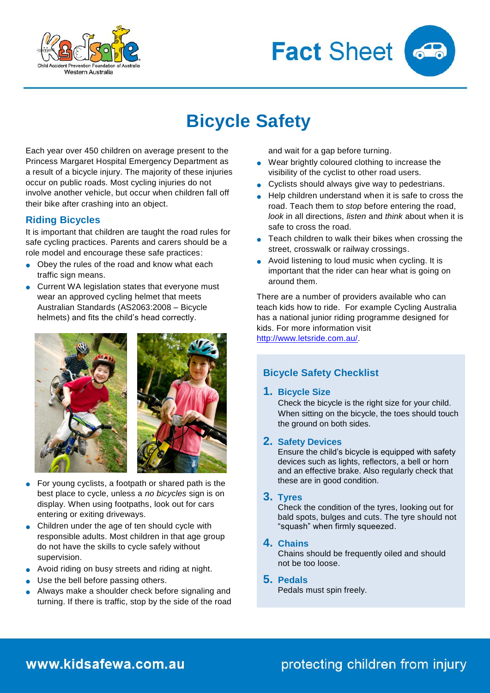



# **Bicycle Safety**

Each year over 450 children on average present to the Princess Margaret Hospital Emergency Department as a result of a bicycle injury. The majority of these injuries occur on public roads. Most cycling injuries do not involve another vehicle, but occur when children fall off their bike after crashing into an object.

### **Riding Bicycles**

It is important that children are taught the road rules for safe cycling practices. Parents and carers should be a role model and encourage these safe practices:

- Obey the rules of the road and know what each traffic sign means.
- **Current WA legislation states that everyone must** wear an approved cycling helmet that meets Australian Standards (AS2063:2008 – Bicycle helmets) and fits the child's head correctly.





- For young cyclists, a footpath or shared path is the best place to cycle, unless a *no bicycles* sign is on display. When using footpaths, look out for cars entering or exiting driveways.
- Children under the age of ten should cycle with responsible adults. Most children in that age group do not have the skills to cycle safely without supervision.
- Avoid riding on busy streets and riding at night.
- Use the bell before passing others.
- Always make a shoulder check before signaling and turning. If there is traffic, stop by the side of the road

and wait for a gap before turning.

- Wear brightly coloured clothing to increase the visibility of the cyclist to other road users.
- Cyclists should always give way to pedestrians.
- Help children understand when it is safe to cross the road. Teach them to *stop* before entering the road, *look* in all directions, *listen* and *think* about when it is safe to cross the road.
- **•** Teach children to walk their bikes when crossing the street, crosswalk or railway crossings.
- Avoid listening to loud music when cycling. It is important that the rider can hear what is going on around them.

There are a number of providers available who can teach kids how to ride. For example Cycling Australia has a national junior riding programme designed for kids. For more information visit

[http://www.letsride.com.au/.](http://www.letsride.com.au/)

### **Bicycle Safety Checklist**

### **1. Bicycle Size**

Check the bicycle is the right size for your child. When sitting on the bicycle, the toes should touch the ground on both sides.

### **2. Safety Devices**

Ensure the child's bicycle is equipped with safety devices such as lights, reflectors, a bell or horn and an effective brake. Also regularly check that these are in good condition.

### **3. Tyres**

Check the condition of the tyres, looking out for bald spots, bulges and cuts. The tyre should not "squash" when firmly squeezed.

### **4. Chains**

Chains should be frequently oiled and should not be too loose.

### **5. Pedals**

Pedals must spin freely.

## www.kidsafewa.com.au

# protecting children from injury